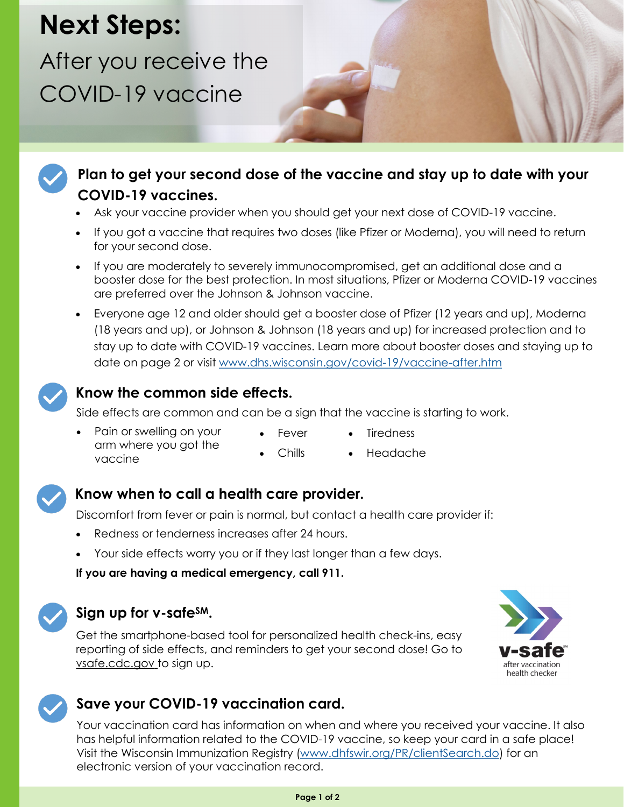# **Next Steps:**

After you receive the COVID-19 vaccine





#### **Plan to get your second dose of the vaccine and stay up to date with your COVID-19 vaccines.**

- Ask your vaccine provider when you should get your next dose of COVID-19 vaccine.
- If you got a vaccine that requires two doses (like Pfizer or Moderna), you will need to return for your second dose.
- If you are moderately to severely immunocompromised, get an additional dose and a booster dose for the best protection. In most situations, Pfizer or Moderna COVID-19 vaccines are preferred over the Johnson & Johnson vaccine.
- Everyone age 12 and older should get a booster dose of Pfizer (12 years and up), Moderna (18 years and up), or Johnson & Johnson (18 years and up) for increased protection and to stay up to date with COVID-19 vaccines. Learn more about booster doses and staying up to date on page 2 or visit [www.dhs.wisconsin.gov/covid-19/vaccine-after.htm](http://www.dhs.wisconsin.gov/covid-19/vaccine-after.htm)



#### **Know the common side effects.**

Side effects are common and can be a sign that the vaccine is starting to work.

Chills

- Pain or swelling on your arm where you got the vaccine
- Fever
	- Headache

**Tiredness** 



#### **Know when to call a health care provider.**

Discomfort from fever or pain is normal, but contact a health care provider if:

- Redness or tenderness increases after 24 hours.
- Your side effects worry you or if they last longer than a few days.

**If you are having a medical emergency, call 911.** 



#### **Sign up for v-safeSM.**

Get the smartphone-based tool for personalized health check-ins, easy reporting of side effects, and reminders to get your second dose! Go to [vsafe.cdc.gov](https://vsafe.cdc.gov/en/) to sign up.



### **Save your COVID-19 vaccination card.**

Your vaccination card has information on when and where you received your vaccine. It also has helpful information related to the COVID-19 vaccine, so keep your card in a safe place! Visit the Wisconsin Immunization Registry ([www.dhfswir.org/PR/clientSearch.do\)](https://www.dhfswir.org/PR/clientSearch.do) for an electronic version of your vaccination record.